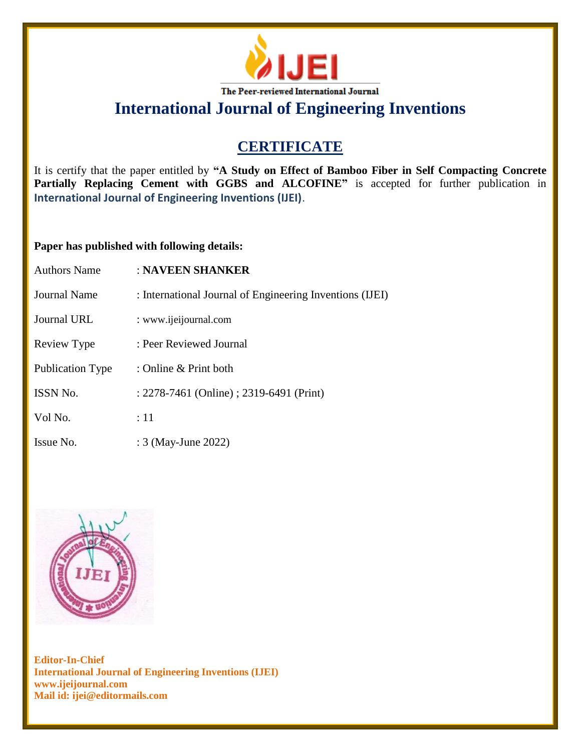

# **International Journal of Engineering Inventions**

## **CERTIFICATE**

It is certify that the paper entitled by **"A Study on Effect of Bamboo Fiber in Self Compacting Concrete**  Partially Replacing Cement with GGBS and ALCOFINE" is accepted for further publication in **International Journal of Engineering Inventions (IJEI)**.

### **Paper has published with following details:**

| <b>Authors Name</b>     | : NAVEEN SHANKER                                         |
|-------------------------|----------------------------------------------------------|
| Journal Name            | : International Journal of Engineering Inventions (IJEI) |
| <b>Journal URL</b>      | : www.ijeijournal.com                                    |
| Review Type             | : Peer Reviewed Journal                                  |
| <b>Publication Type</b> | : Online $&$ Print both                                  |
| <b>ISSN No.</b>         | : 2278-7461 (Online) ; 2319-6491 (Print)                 |
| Vol No.                 | :11                                                      |
| Issue No.               | : 3 (May-June 2022)                                      |



**Editor-In-Chief International Journal of Engineering Inventions (IJEI) www.ijeijournal.com Mail id: ijei@editormails.com**